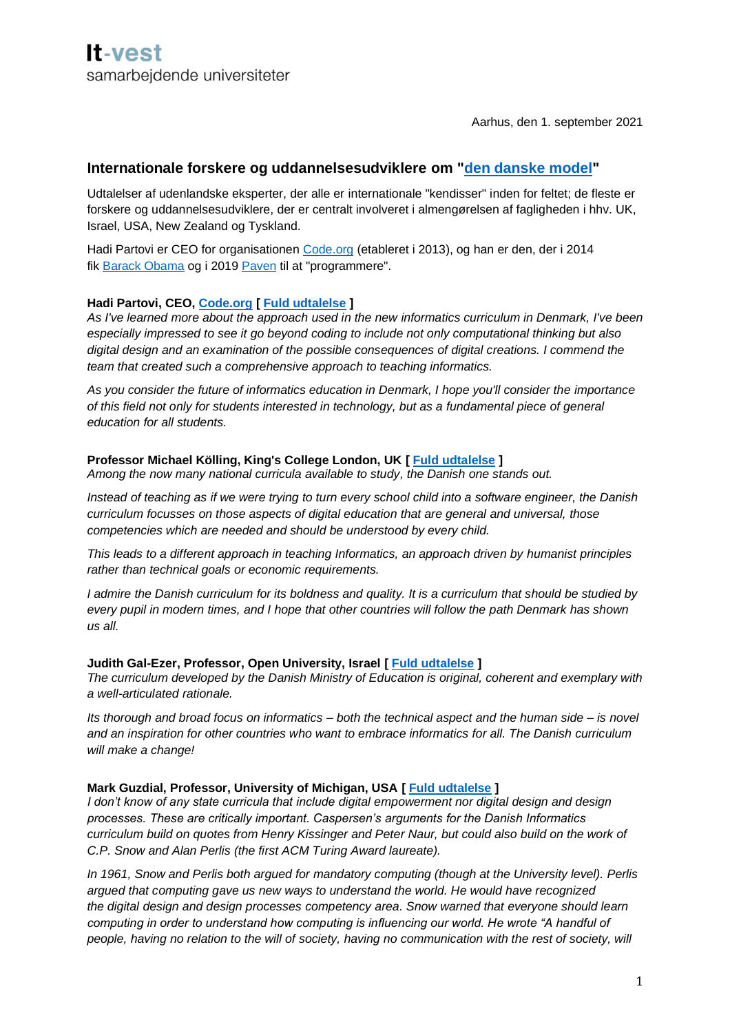Aarhus, den 1. september 2021

# **Internationale forskere og uddannelsesudviklere om ["den danske model"](https://dighum.ec.tuwien.ac.at/perspectives-on-digital-humanism/informatics-as-a-fundamental-discipline-in-general-education-the-danish-perspective/)**

Udtalelser af udenlandske eksperter, der alle er internationale "kendisser" inden for feltet; de fleste er forskere og uddannelsesudviklere, der er centralt involveret i almengørelsen af fagligheden i hhv. UK, Israel, USA, New Zealand og Tyskland.

Hadi Partovi er CEO for organisationen [Code.org](http://code.org/) (etableret i 2013), og han er den, der i 2014 fik [Barack Obama](https://www.youtube.com/watch?v=AI_dayIQWV4) og i 2019 [Paven](https://www.geekwire.com/2019/pope-francis-taps-techs-higher-power-helps-write-code-alongside-code-org-founder/) til at "programmere".

## **Hadi Partovi, CEO, [Code.org](http://code.org/) [ [Fuld udtalelse](https://www.dropbox.com/s/cggeei1uqdz83bs/Hadi%20Partovi,%20Code.org%20%E2%80%93%20Denmark%20Curriculum.pdf?dl=0) ]**

*As I've learned more about the approach used in the new informatics curriculum in Denmark, I've been especially impressed to see it go beyond coding to include not only computational thinking but also digital design and an examination of the possible consequences of digital creations. I commend the team that created such a comprehensive approach to teaching informatics.*

*As you consider the future of informatics education in Denmark, I hope you'll consider the importance of this field not only for students interested in technology, but as a fundamental piece of general education for all students.*

### **Professor Michael Kölling, King's College London, UK [ [Fuld udtalelse](https://www.dropbox.com/s/j9doe2075nm8xp4/Michael%20K%C3%B6lling,%20UK%20%E2%80%93%20Danish%20Informatics%20Curriculum%20Endorsement.pdf?dl=0) ]**

*Among the now many national curricula available to study, the Danish one stands out.*

*Instead of teaching as if we were trying to turn every school child into a software engineer, the Danish curriculum focusses on those aspects of digital education that are general and universal, those competencies which are needed and should be understood by every child.*

*This leads to a different approach in teaching Informatics, an approach driven by humanist principles rather than technical goals or economic requirements.*

*I admire the Danish curriculum for its boldness and quality. It is a curriculum that should be studied by every pupil in modern times, and I hope that other countries will follow the path Denmark has shown us all.*

### **Judith Gal-Ezer, Professor, Open University, Israel [ [Fuld udtalelse](https://www.dropbox.com/s/l76eh972jxuwwra/Judith%20Gal-Ezer,%20Israel%20%E2%80%93%20Letter%20of%20Praise%20on%20the%20Danish%20Informatics%20Curriculum.pdf?dl=0) ]**

*The curriculum developed by the Danish Ministry of Education is original, coherent and exemplary with a well-articulated rationale.*

*Its thorough and broad focus on informatics – both the technical aspect and the human side – is novel and an inspiration for other countries who want to embrace informatics for all. The Danish curriculum will make a change!*

### **Mark Guzdial, Professor, University of Michigan, USA [ [Fuld udtalelse](https://www.dropbox.com/s/2ob5smqz7kbs1ue/Mark%20Guzdial,%20USA%20%E2%80%93%20Comments%20on%20Danish%20Computer%20Science%20Curriculum.pdf?dl=0) ]**

*I don't know of any state curricula that include digital empowerment nor digital design and design processes. These are critically important. Caspersen's arguments for the Danish Informatics curriculum build on quotes from Henry Kissinger and Peter Naur, but could also build on the work of C.P. Snow and Alan Perlis (the first ACM Turing Award laureate).*

*In 1961, Snow and Perlis both argued for mandatory computing (though at the University level). Perlis argued that computing gave us new ways to understand the world. He would have recognized the digital design and design processes competency area. Snow warned that everyone should learn computing in order to understand how computing is influencing our world. He wrote "A handful of people, having no relation to the will of society, having no communication with the rest of society, will*